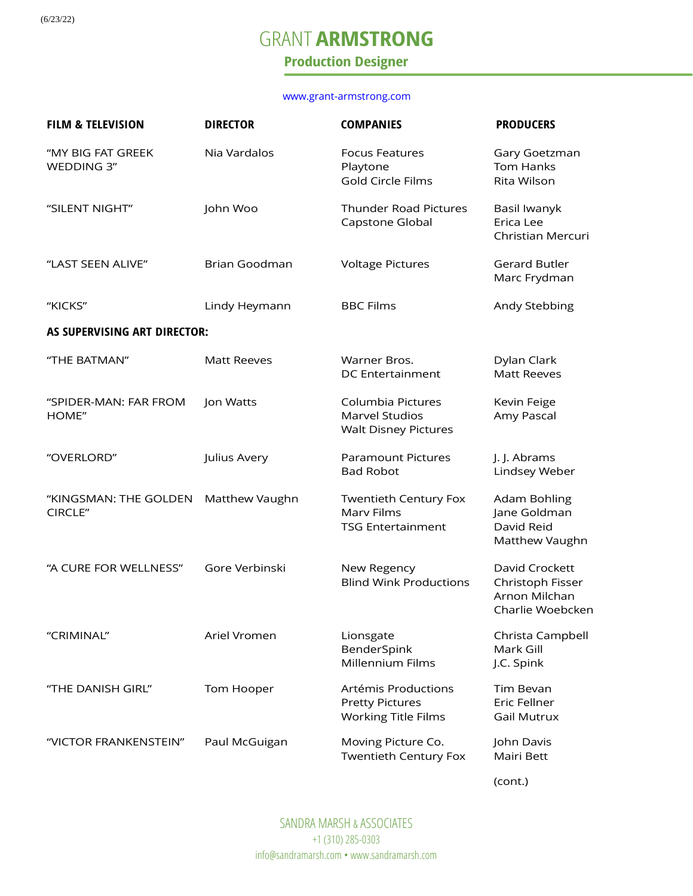(6/23/22)

## GRANT **ARMSTRONG**

### **Production Designer**

#### [www.grant-armstrong.com](http://www.grant-armstrong.com/)

| <b>FILM &amp; TELEVISION</b>     | <b>DIRECTOR</b>    | <b>COMPANIES</b>                                                            | <b>PRODUCERS</b>                                                        |  |  |  |
|----------------------------------|--------------------|-----------------------------------------------------------------------------|-------------------------------------------------------------------------|--|--|--|
| "MY BIG FAT GREEK<br>WEDDING 3"  | Nia Vardalos       | <b>Focus Features</b><br>Playtone<br>Gold Circle Films                      | Gary Goetzman<br><b>Tom Hanks</b><br>Rita Wilson                        |  |  |  |
| "SILENT NIGHT"                   | John Woo           | <b>Thunder Road Pictures</b><br>Capstone Global                             | Basil Iwanyk<br>Erica Lee<br>Christian Mercuri                          |  |  |  |
| "LAST SEEN ALIVE"                | Brian Goodman      | <b>Voltage Pictures</b>                                                     | <b>Gerard Butler</b><br>Marc Frydman                                    |  |  |  |
| "KICKS"                          | Lindy Heymann      | <b>BBC Films</b>                                                            | Andy Stebbing                                                           |  |  |  |
| AS SUPERVISING ART DIRECTOR:     |                    |                                                                             |                                                                         |  |  |  |
| "THE BATMAN"                     | <b>Matt Reeves</b> | Warner Bros.<br><b>DC</b> Entertainment                                     | Dylan Clark<br><b>Matt Reeves</b>                                       |  |  |  |
| "SPIDER-MAN: FAR FROM<br>HOME"   | Jon Watts          | Columbia Pictures<br><b>Marvel Studios</b><br><b>Walt Disney Pictures</b>   | Kevin Feige<br>Amy Pascal                                               |  |  |  |
| "OVERLORD"                       | Julius Avery       | <b>Paramount Pictures</b><br><b>Bad Robot</b>                               | J. J. Abrams<br>Lindsey Weber                                           |  |  |  |
| "KINGSMAN: THE GOLDEN<br>CIRCLE" | Matthew Vaughn     | Twentieth Century Fox<br>Marv Films<br><b>TSG Entertainment</b>             | Adam Bohling<br>Jane Goldman<br>David Reid<br>Matthew Vaughn            |  |  |  |
| "A CURE FOR WELLNESS"            | Gore Verbinski     | New Regency<br><b>Blind Wink Productions</b>                                | David Crockett<br>Christoph Fisser<br>Arnon Milchan<br>Charlie Woebcken |  |  |  |
| "CRIMINAL"                       | Ariel Vromen       | Lionsgate<br>BenderSpink<br>Millennium Films                                | Christa Campbell<br>Mark Gill<br>J.C. Spink                             |  |  |  |
| "THE DANISH GIRL"                | Tom Hooper         | Artémis Productions<br><b>Pretty Pictures</b><br><b>Working Title Films</b> | Tim Bevan<br>Eric Fellner<br><b>Gail Mutrux</b>                         |  |  |  |
| "VICTOR FRANKENSTEIN"            | Paul McGuigan      | Moving Picture Co.<br><b>Twentieth Century Fox</b>                          | John Davis<br>Mairi Bett                                                |  |  |  |

(cont.)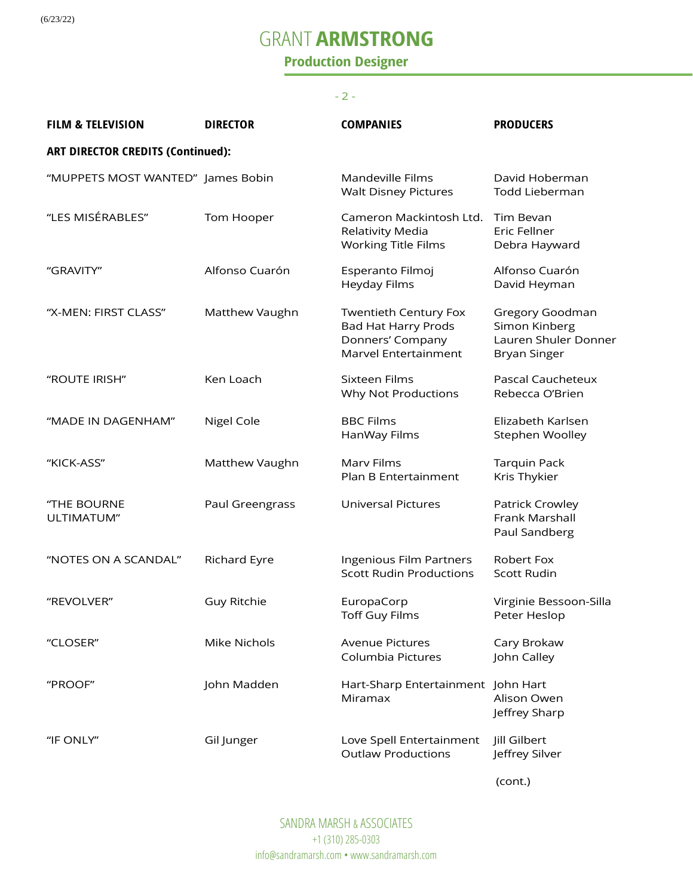(6/23/22)

# GRANT **ARMSTRONG**

### **Production Designer**

### - 2 -

| <b>FILM &amp; TELEVISION</b>             | <b>DIRECTOR</b>    | <b>COMPANIES</b>                                                                                       | <b>PRODUCERS</b>                                                                |  |  |
|------------------------------------------|--------------------|--------------------------------------------------------------------------------------------------------|---------------------------------------------------------------------------------|--|--|
| <b>ART DIRECTOR CREDITS (Continued):</b> |                    |                                                                                                        |                                                                                 |  |  |
| "MUPPETS MOST WANTED" James Bobin        |                    | Mandeville Films<br><b>Walt Disney Pictures</b>                                                        | David Hoberman<br>Todd Lieberman                                                |  |  |
| "LES MISÉRABLES"                         | Tom Hooper         | Cameron Mackintosh Ltd.<br>Relativity Media<br><b>Working Title Films</b>                              | Tim Bevan<br>Eric Fellner<br>Debra Hayward                                      |  |  |
| "GRAVITY"                                | Alfonso Cuarón     | Esperanto Filmoj<br><b>Heyday Films</b>                                                                | Alfonso Cuarón<br>David Heyman                                                  |  |  |
| "X-MEN: FIRST CLASS"                     | Matthew Vaughn     | <b>Twentieth Century Fox</b><br><b>Bad Hat Harry Prods</b><br>Donners' Company<br>Marvel Entertainment | Gregory Goodman<br>Simon Kinberg<br>Lauren Shuler Donner<br><b>Bryan Singer</b> |  |  |
| "ROUTE IRISH"                            | Ken Loach          | Sixteen Films<br>Why Not Productions                                                                   | <b>Pascal Caucheteux</b><br>Rebecca O'Brien                                     |  |  |
| "MADE IN DAGENHAM"                       | Nigel Cole         | <b>BBC Films</b><br>HanWay Films                                                                       | Elizabeth Karlsen<br>Stephen Woolley                                            |  |  |
| "KICK-ASS"                               | Matthew Vaughn     | Marv Films<br>Plan B Entertainment                                                                     | <b>Tarquin Pack</b><br>Kris Thykier                                             |  |  |
| "THE BOURNE<br>ULTIMATUM"                | Paul Greengrass    | <b>Universal Pictures</b>                                                                              | Patrick Crowley<br>Frank Marshall<br>Paul Sandberg                              |  |  |
| "NOTES ON A SCANDAL"                     | Richard Eyre       | Ingenious Film Partners<br><b>Scott Rudin Productions</b>                                              | Robert Fox<br><b>Scott Rudin</b>                                                |  |  |
| "REVOLVER"                               | <b>Guy Ritchie</b> | EuropaCorp<br><b>Toff Guy Films</b>                                                                    | Virginie Bessoon-Silla<br>Peter Heslop                                          |  |  |
| "CLOSER"                                 | Mike Nichols       | <b>Avenue Pictures</b><br>Columbia Pictures                                                            | Cary Brokaw<br>John Calley                                                      |  |  |
| "PROOF"                                  | John Madden        | Hart-Sharp Entertainment John Hart<br>Miramax                                                          | Alison Owen<br>Jeffrey Sharp                                                    |  |  |
| "IF ONLY"                                | Gil Junger         | Love Spell Entertainment<br><b>Outlaw Productions</b>                                                  | Jill Gilbert<br>Jeffrey Silver                                                  |  |  |

(cont.)